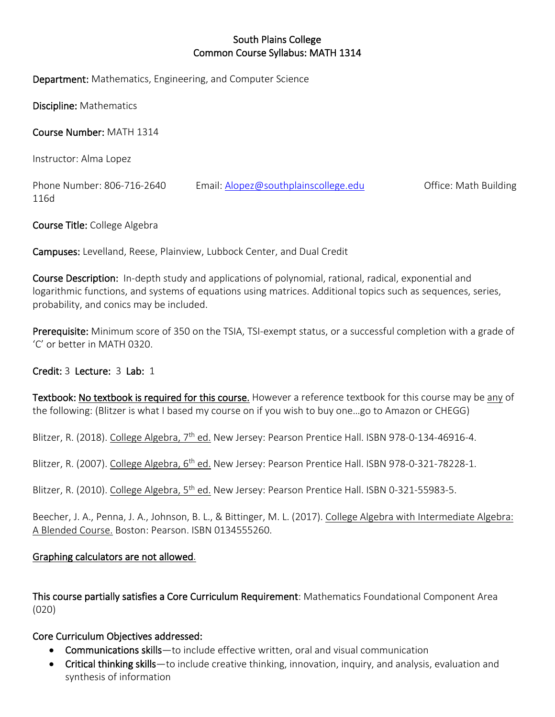## South Plains College Common Course Syllabus: MATH 1314

Department: Mathematics, Engineering, and Computer Science

Discipline: Mathematics

Course Number: MATH 1314

Instructor: Alma Lopez

Phone Number: 806-716-2640 Email: [Alopez@southplainscollege.edu](mailto:Alopez@southplainscollege.edu) Office: Math Building 116d

Course Title: College Algebra

Campuses: Levelland, Reese, Plainview, Lubbock Center, and Dual Credit

Course Description: In-depth study and applications of polynomial, rational, radical, exponential and logarithmic functions, and systems of equations using matrices. Additional topics such as sequences, series, probability, and conics may be included.

Prerequisite: Minimum score of 350 on the TSIA, TSI-exempt status, or a successful completion with a grade of 'C' or better in MATH 0320.

## Credit: 3 Lecture: 3 Lab: 1

Textbook: No textbook is required for this course. However a reference textbook for this course may be any of the following: (Blitzer is what I based my course on if you wish to buy one…go to Amazon or CHEGG)

Blitzer, R. (2018). College Algebra, 7<sup>th</sup> ed. New Jersey: Pearson Prentice Hall. ISBN 978-0-134-46916-4.

Blitzer, R. (2007). College Algebra, 6<sup>th</sup> ed. New Jersey: Pearson Prentice Hall. ISBN 978-0-321-78228-1.

Blitzer, R. (2010). College Algebra, 5<sup>th</sup> ed. New Jersey: Pearson Prentice Hall. ISBN 0-321-55983-5.

Beecher, J. A., Penna, J. A., Johnson, B. L., & Bittinger, M. L. (2017). College Algebra with Intermediate Algebra: A Blended Course. Boston: Pearson. ISBN 0134555260.

## Graphing calculators are not allowed.

This course partially satisfies a Core Curriculum Requirement: Mathematics Foundational Component Area (020)

## Core Curriculum Objectives addressed:

- Communications skills—to include effective written, oral and visual communication
- Critical thinking skills—to include creative thinking, innovation, inquiry, and analysis, evaluation and synthesis of information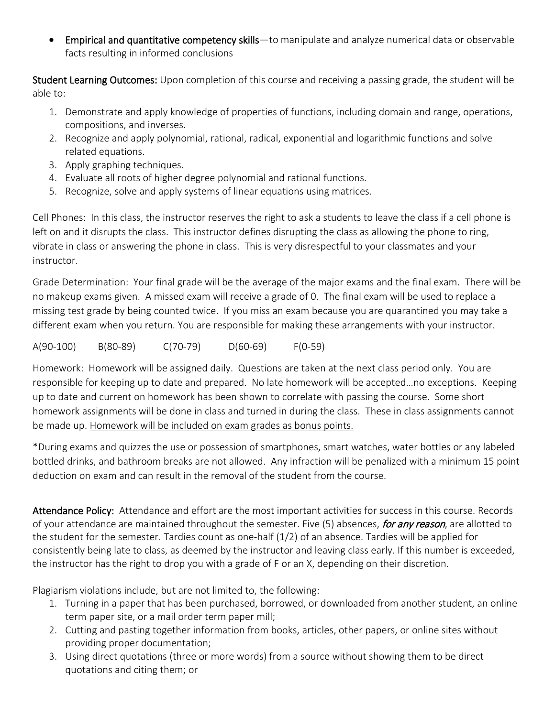• Empirical and quantitative competency skills—to manipulate and analyze numerical data or observable facts resulting in informed conclusions

Student Learning Outcomes: Upon completion of this course and receiving a passing grade, the student will be able to:

- 1. Demonstrate and apply knowledge of properties of functions, including domain and range, operations, compositions, and inverses.
- 2. Recognize and apply polynomial, rational, radical, exponential and logarithmic functions and solve related equations.
- 3. Apply graphing techniques.
- 4. Evaluate all roots of higher degree polynomial and rational functions.
- 5. Recognize, solve and apply systems of linear equations using matrices.

Cell Phones: In this class, the instructor reserves the right to ask a students to leave the class if a cell phone is left on and it disrupts the class. This instructor defines disrupting the class as allowing the phone to ring, vibrate in class or answering the phone in class. This is very disrespectful to your classmates and your instructor.

Grade Determination: Your final grade will be the average of the major exams and the final exam. There will be no makeup exams given. A missed exam will receive a grade of 0. The final exam will be used to replace a missing test grade by being counted twice. If you miss an exam because you are quarantined you may take a different exam when you return. You are responsible for making these arrangements with your instructor.

A(90-100) B(80-89) C(70-79) D(60-69) F(0-59)

Homework: Homework will be assigned daily. Questions are taken at the next class period only. You are responsible for keeping up to date and prepared. No late homework will be accepted…no exceptions. Keeping up to date and current on homework has been shown to correlate with passing the course. Some short homework assignments will be done in class and turned in during the class. These in class assignments cannot be made up. Homework will be included on exam grades as bonus points.

\*During exams and quizzes the use or possession of smartphones, smart watches, water bottles or any labeled bottled drinks, and bathroom breaks are not allowed. Any infraction will be penalized with a minimum 15 point deduction on exam and can result in the removal of the student from the course.

Attendance Policy: Attendance and effort are the most important activities for success in this course. Records of your attendance are maintained throughout the semester. Five (5) absences, for any reason, are allotted to the student for the semester. Tardies count as one-half (1/2) of an absence. Tardies will be applied for consistently being late to class, as deemed by the instructor and leaving class early. If this number is exceeded, the instructor has the right to drop you with a grade of F or an X, depending on their discretion.

Plagiarism violations include, but are not limited to, the following:

- 1. Turning in a paper that has been purchased, borrowed, or downloaded from another student, an online term paper site, or a mail order term paper mill;
- 2. Cutting and pasting together information from books, articles, other papers, or online sites without providing proper documentation;
- 3. Using direct quotations (three or more words) from a source without showing them to be direct quotations and citing them; or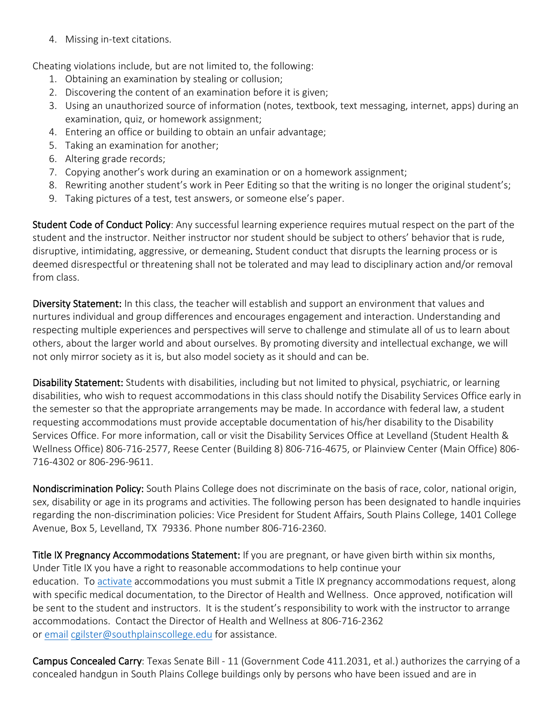4. Missing in-text citations.

Cheating violations include, but are not limited to, the following:

- 1. Obtaining an examination by stealing or collusion;
- 2. Discovering the content of an examination before it is given;
- 3. Using an unauthorized source of information (notes, textbook, text messaging, internet, apps) during an examination, quiz, or homework assignment;
- 4. Entering an office or building to obtain an unfair advantage;
- 5. Taking an examination for another;
- 6. Altering grade records;
- 7. Copying another's work during an examination or on a homework assignment;
- 8. Rewriting another student's work in Peer Editing so that the writing is no longer the original student's;
- 9. Taking pictures of a test, test answers, or someone else's paper.

Student Code of Conduct Policy: Any successful learning experience requires mutual respect on the part of the student and the instructor. Neither instructor nor student should be subject to others' behavior that is rude, disruptive, intimidating, aggressive, or demeaning. Student conduct that disrupts the learning process or is deemed disrespectful or threatening shall not be tolerated and may lead to disciplinary action and/or removal from class.

Diversity Statement: In this class, the teacher will establish and support an environment that values and nurtures individual and group differences and encourages engagement and interaction. Understanding and respecting multiple experiences and perspectives will serve to challenge and stimulate all of us to learn about others, about the larger world and about ourselves. By promoting diversity and intellectual exchange, we will not only mirror society as it is, but also model society as it should and can be.

Disability Statement: Students with disabilities, including but not limited to physical, psychiatric, or learning disabilities, who wish to request accommodations in this class should notify the Disability Services Office early in the semester so that the appropriate arrangements may be made. In accordance with federal law, a student requesting accommodations must provide acceptable documentation of his/her disability to the Disability Services Office. For more information, call or visit the Disability Services Office at Levelland (Student Health & Wellness Office) 806-716-2577, Reese Center (Building 8) 806-716-4675, or Plainview Center (Main Office) 806- 716-4302 or 806-296-9611.

Nondiscrimination Policy: South Plains College does not discriminate on the basis of race, color, national origin, sex, disability or age in its programs and activities. The following person has been designated to handle inquiries regarding the non-discrimination policies: Vice President for Student Affairs, South Plains College, 1401 College Avenue, Box 5, Levelland, TX 79336. Phone number 806-716-2360.

Title IX Pregnancy Accommodations Statement: If you are pregnant, or have given birth within six months, Under Title IX you have a right to reasonable accommodations to help continue your education. To [activate](http://www.southplainscollege.edu/employees/manualshandbooks/facultyhandbook/sec4.php) accommodations you must submit a Title IX pregnancy accommodations request, along with specific medical documentation, to the Director of Health and Wellness. Once approved, notification will be sent to the student and instructors. It is the student's responsibility to work with the instructor to arrange accommodations. Contact the Director of Health and Wellness at 806-716-2362 or [email](http://www.southplainscollege.edu/employees/manualshandbooks/facultyhandbook/sec4.php) [cgilster@southplainscollege.edu](mailto:cgilster@southplainscollege.edu) for assistance.

Campus Concealed Carry: Texas Senate Bill - 11 (Government Code 411.2031, et al.) authorizes the carrying of a concealed handgun in South Plains College buildings only by persons who have been issued and are in